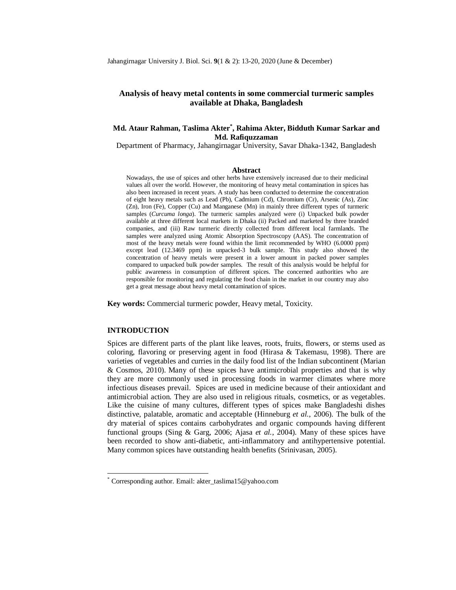Jahangirnagar University J. Biol. Sci. **9**(1 & 2): 13-20, 2020 (June & December)

# **Analysis of heavy metal contents in some commercial turmeric samples available at Dhaka, Bangladesh**

# **Md. Ataur Rahman, Taslima Akter\* , Rahima Akter, Bidduth Kumar Sarkar and Md. Rafiquzzaman**

Department of Pharmacy, Jahangirnagar University, Savar Dhaka-1342, Bangladesh

#### **Abstract**

Nowadays, the use of spices and other herbs have extensively increased due to their medicinal values all over the world. However, the monitoring of heavy metal contamination in spices has also been increased in recent years. A study has been conducted to determine the concentration of eight heavy metals such as Lead (Pb), Cadmium (Cd), Chromium (Cr), Arsenic (As), Zinc (Zn), Iron (Fe), Copper (Cu) and Manganese (Mn) in mainly three different types of turmeric samples (*Curcuma longa*). The turmeric samples analyzed were (i) Unpacked bulk powder available at three different local markets in Dhaka (ii) Packed and marketed by three branded companies, and (iii) Raw turmeric directly collected from different local farmlands. The samples were analyzed using Atomic Absorption Spectroscopy (AAS). The concentration of most of the heavy metals were found within the limit recommended by WHO (6.0000 ppm) except lead (12.3469 ppm) in unpacked-3 bulk sample. This study also showed the concentration of heavy metals were present in a lower amount in packed power samples compared to unpacked bulk powder samples. The result of this analysis would be helpful for public awareness in consumption of different spices. The concerned authorities who are responsible for monitoring and regulating the food chain in the market in our country may also get a great message about heavy metal contamination of spices.

**Key words:** Commercial turmeric powder, Heavy metal, Toxicity.

### **INTRODUCTION**

1

Spices are different parts of the plant like leaves, roots, fruits, flowers, or stems used as coloring, flavoring or preserving agent in food (Hirasa & Takemasu, 1998). There are varieties of vegetables and curries in the daily food list of the Indian subcontinent (Marian & Cosmos, 2010). Many of these spices have antimicrobial properties and that is why they are more commonly used in processing foods in warmer climates where more infectious diseases prevail. Spices are used in medicine because of their antioxidant and antimicrobial action. They are also used in religious rituals, cosmetics, or as vegetables. Like the cuisine of many cultures, different types of spices make Bangladeshi dishes distinctive, palatable, aromatic and acceptable (Hinneburg *et al.*, 2006). The bulk of the dry material of spices contains carbohydrates and organic compounds having different functional groups (Sing & Garg, 2006; Ajasa *et al.*, 2004). Many of these spices have been recorded to show anti-diabetic, anti-inflammatory and antihypertensive potential. Many common spices have outstanding health benefits (Srinivasan, 2005).

<sup>\*</sup> Corresponding author. Email: akter\_taslima15@yahoo.com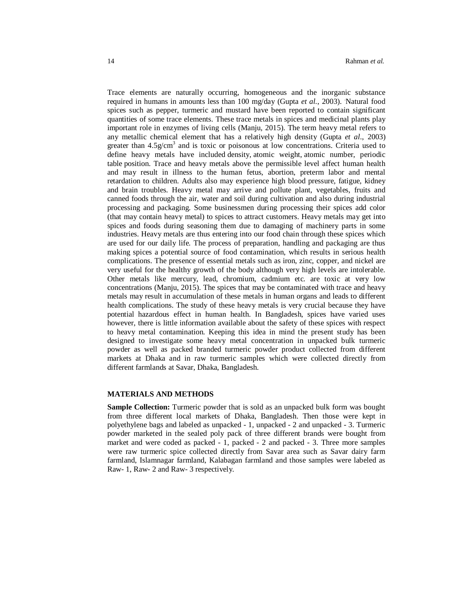Trace elements are naturally occurring, homogeneous and the inorganic substance required in humans in amounts less than 100 mg/day (Gupta *et al.*, 2003). Natural food spices such as pepper, turmeric and mustard have been reported to contain significant quantities of some trace elements. These trace metals in spices and medicinal plants play important role in enzymes of living cells (Manju, 2015). The term heavy metal refers to any metallic chemical element that has a relatively high density (Gupta *et al*., 2003) greater than  $4.5g/cm<sup>3</sup>$  and is toxic or poisonous at low concentrations. Criteria used to define heavy metals have included density, atomic weight, atomic number, periodic table position. Trace and heavy metals above the permissible level affect human health and may result in illness to the human fetus, abortion, preterm labor and mental retardation to children. Adults also may experience high blood pressure, fatigue, kidney and brain troubles. Heavy metal may arrive and pollute plant, vegetables, fruits and canned foods through the air, water and soil during cultivation and also during industrial processing and packaging. Some businessmen during processing their spices add color (that may contain heavy metal) to spices to attract customers. Heavy metals may get into spices and foods during seasoning them due to damaging of machinery parts in some industries. Heavy metals are thus entering into our food chain through these spices which are used for our daily life. The process of preparation, handling and packaging are thus making spices a potential source of food contamination, which results in serious health complications. The presence of essential metals such as iron, zinc, copper, and nickel are very useful for the healthy growth of the body although very high levels are intolerable. Other metals like mercury, lead, chromium, cadmium etc. are toxic at very low concentrations (Manju, 2015). The spices that may be contaminated with trace and heavy metals may result in accumulation of these metals in human organs and leads to different health complications. The study of these heavy metals is very crucial because they have potential hazardous effect in human health. In Bangladesh, spices have varied uses however, there is little information available about the safety of these spices with respect to heavy metal contamination. Keeping this idea in mind the present study has been designed to investigate some heavy metal concentration in unpacked bulk turmeric powder as well as packed branded turmeric powder product collected from different markets at Dhaka and in raw turmeric samples which were collected directly from different farmlands at Savar, Dhaka, Bangladesh.

## **MATERIALS AND METHODS**

**Sample Collection:** Turmeric powder that is sold as an unpacked bulk form was bought from three different local markets of Dhaka, Bangladesh. Then those were kept in polyethylene bags and labeled as unpacked - 1, unpacked - 2 and unpacked - 3. Turmeric powder marketed in the sealed poly pack of three different brands were bought from market and were coded as packed - 1, packed - 2 and packed - 3. Three more samples were raw turmeric spice collected directly from Savar area such as Savar dairy farm farmland, Islamnagar farmland, Kalabagan farmland and those samples were labeled as Raw- 1, Raw- 2 and Raw- 3 respectively.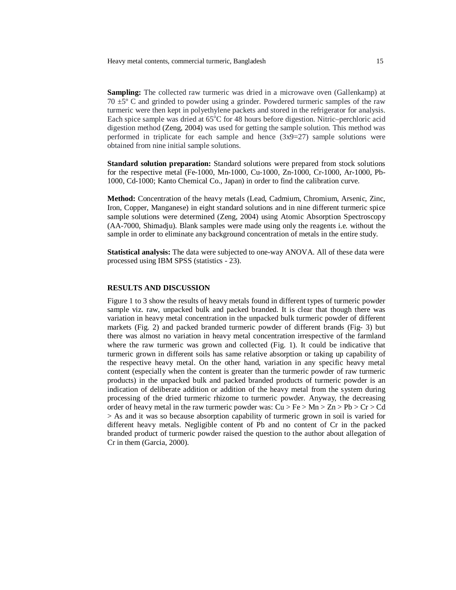**Sampling:** The collected raw turmeric was dried in a microwave oven (Gallenkamp) at 70  $\pm$  5 $\degree$  C and grinded to powder using a grinder. Powdered turmeric samples of the raw turmeric were then kept in polyethylene packets and stored in the refrigerator for analysis. Each spice sample was dried at  $65^{\circ}$ C for 48 hours before digestion. Nitric–perchloric acid digestion method (Zeng, 2004) was used for getting the sample solution. This method was performed in triplicate for each sample and hence  $(3x9=27)$  sample solutions were obtained from nine initial sample solutions.

**Standard solution preparation:** Standard solutions were prepared from stock solutions for the respective metal (Fe-1000, Mn-1000, Cu-1000, Zn-1000, Cr-1000, Ar-1000, Pb-1000, Cd-1000; Kanto Chemical Co., Japan) in order to find the calibration curve.

**Method:** Concentration of the heavy metals (Lead, Cadmium, Chromium, Arsenic, Zinc, Iron, Copper, Manganese) in eight standard solutions and in nine different turmeric spice sample solutions were determined (Zeng, 2004) using Atomic Absorption Spectroscopy (AA-7000, Shimadju). Blank samples were made using only the reagents i.e. without the sample in order to eliminate any background concentration of metals in the entire study.

**Statistical analysis:** The data were subjected to one-way ANOVA. All of these data were processed using IBM SPSS (statistics - 23).

## **RESULTS AND DISCUSSION**

Figure 1 to 3 show the results of heavy metals found in different types of turmeric powder sample viz. raw, unpacked bulk and packed branded. It is clear that though there was variation in heavy metal concentration in the unpacked bulk turmeric powder of different markets (Fig. 2) and packed branded turmeric powder of different brands (Fig- 3) but there was almost no variation in heavy metal concentration irrespective of the farmland where the raw turmeric was grown and collected (Fig. 1). It could be indicative that turmeric grown in different soils has same relative absorption or taking up capability of the respective heavy metal. On the other hand, variation in any specific heavy metal content (especially when the content is greater than the turmeric powder of raw turmeric products) in the unpacked bulk and packed branded products of turmeric powder is an indication of deliberate addition or addition of the heavy metal from the system during processing of the dried turmeric rhizome to turmeric powder. Anyway, the decreasing order of heavy metal in the raw turmeric powder was:  $Cu > Fe > Mn > Zn > Pb > Cr > Cd$ > As and it was so because absorption capability of turmeric grown in soil is varied for different heavy metals. Negligible content of Pb and no content of Cr in the packed branded product of turmeric powder raised the question to the author about allegation of Cr in them (Garcia, 2000).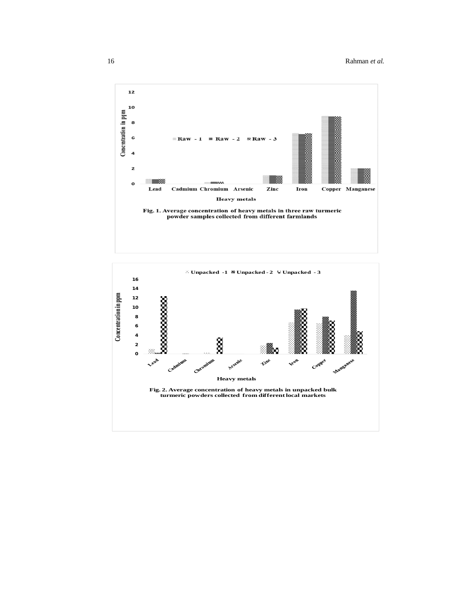

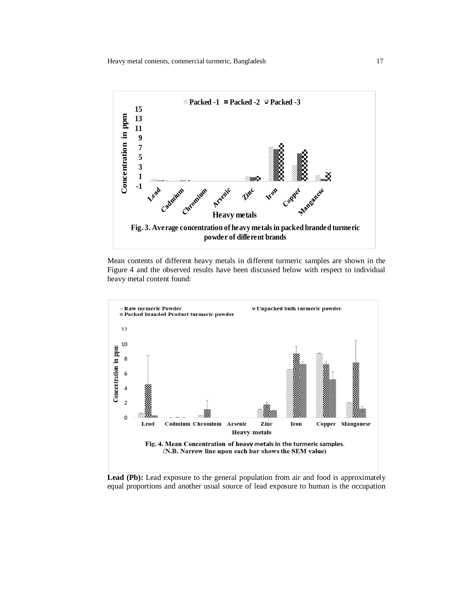

Mean contents of different heavy metals in different turmeric samples are shown in the Figure 4 and the observed results have been discussed below with respect to individual heavy metal content found:



Lead (Pb): Lead exposure to the general population from air and food is approximately equal proportions and another usual source of lead exposure to human is the occupation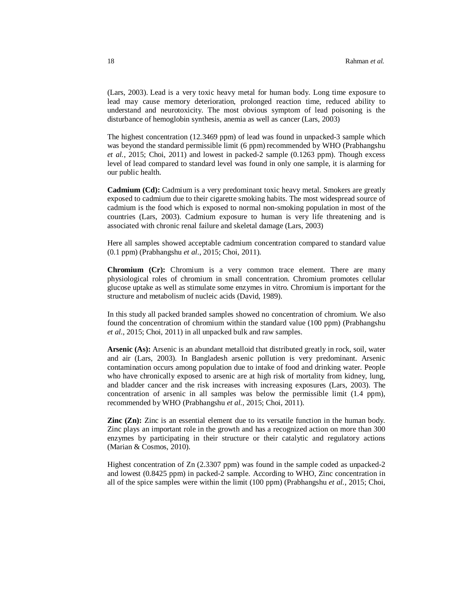(Lars, 2003). Lead is a very toxic heavy metal for human body. Long time exposure to lead may cause memory deterioration, prolonged reaction time, reduced ability to understand and neurotoxicity. The most obvious symptom of lead poisoning is the disturbance of hemoglobin synthesis, anemia as well as cancer (Lars, 2003)

The highest concentration (12.3469 ppm) of lead was found in unpacked-3 sample which was beyond the standard permissible limit (6 ppm) recommended by WHO (Prabhangshu *et al.*, 2015; Choi, 2011) and lowest in packed-2 sample (0.1263 ppm). Though excess level of lead compared to standard level was found in only one sample, it is alarming for our public health.

**Cadmium (Cd):** Cadmium is a very predominant toxic heavy metal. Smokers are greatly exposed to cadmium due to their cigarette smoking habits. The most widespread source of cadmium is the food which is exposed to normal non-smoking population in most of the countries (Lars, 2003). Cadmium exposure to human is very life threatening and is associated with chronic renal failure and skeletal damage (Lars, 2003)

Here all samples showed acceptable cadmium concentration compared to standard value (0.1 ppm) (Prabhangshu *et al*., 2015; Choi, 2011).

**Chromium (Cr):** Chromium is a very common trace element. There are many physiological roles of chromium in small concentration. Chromium promotes cellular glucose uptake as well as stimulate some enzymes in vitro. Chromium is important for the structure and metabolism of nucleic acids (David, 1989).

In this study all packed branded samples showed no concentration of chromium. We also found the concentration of chromium within the standard value (100 ppm) (Prabhangshu *et al.*, 2015; Choi, 2011) in all unpacked bulk and raw samples.

**Arsenic (As):** Arsenic is an abundant metalloid that distributed greatly in rock, soil, water and air (Lars, 2003). In Bangladesh arsenic pollution is very predominant. Arsenic contamination occurs among population due to intake of food and drinking water. People who have chronically exposed to arsenic are at high risk of mortality from kidney, lung, and bladder cancer and the risk increases with increasing exposures (Lars, 2003). The concentration of arsenic in all samples was below the permissible limit (1.4 ppm), recommended by WHO (Prabhangshu *et al.*, 2015; Choi, 2011).

**Zinc (Zn):** Zinc is an essential element due to its versatile function in the human body. Zinc plays an important role in the growth and has a recognized action on more than 300 enzymes by participating in their structure or their catalytic and regulatory actions (Marian & Cosmos, 2010).

Highest concentration of Zn (2.3307 ppm) was found in the sample coded as unpacked-2 and lowest (0.8425 ppm) in packed-2 sample. According to WHO, Zinc concentration in all of the spice samples were within the limit (100 ppm) (Prabhangshu *et al.*, 2015; Choi,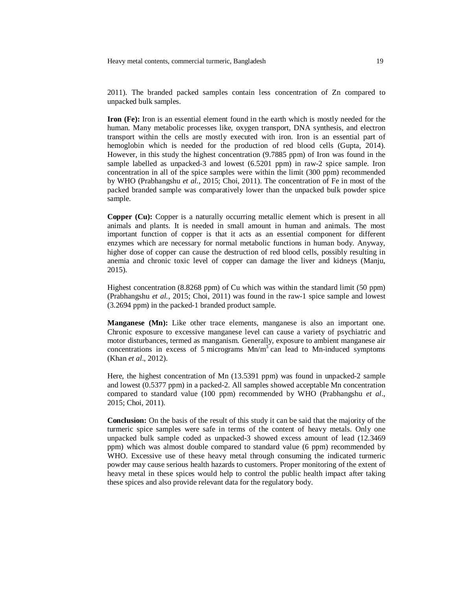Heavy metal contents, commercial turmeric, Bangladesh 19

2011). The branded packed samples contain less concentration of Zn compared to unpacked bulk samples.

**Iron (Fe):** Iron is an essential element found in the earth which is mostly needed for the human. Many metabolic processes like, oxygen transport, DNA synthesis, and electron transport within the cells are mostly executed with iron. Iron is an essential part of hemoglobin which is needed for the production of red blood cells (Gupta, 2014). However, in this study the highest concentration (9.7885 ppm) of Iron was found in the sample labelled as unpacked-3 and lowest (6.5201 ppm) in raw-2 spice sample. Iron concentration in all of the spice samples were within the limit (300 ppm) recommended by WHO (Prabhangshu *et al.*, 2015; Choi, 2011). The concentration of Fe in most of the packed branded sample was comparatively lower than the unpacked bulk powder spice sample.

**Copper (Cu):** Copper is a naturally occurring metallic element which is present in all animals and plants. It is needed in small amount in human and animals. The most important function of copper is that it acts as an essential component for different enzymes which are necessary for normal metabolic functions in human body. Anyway, higher dose of copper can cause the destruction of red blood cells, possibly resulting in anemia and chronic toxic level of copper can damage the liver and kidneys (Manju, 2015).

Highest concentration (8.8268 ppm) of Cu which was within the standard limit (50 ppm) (Prabhangshu *et al.*, 2015; Choi, 2011) was found in the raw-1 spice sample and lowest (3.2694 ppm) in the packed-1 branded product sample.

**Manganese (Mn):** Like other trace elements, manganese is also an important one. Chronic exposure to excessive manganese level can cause a variety of psychiatric and motor disturbances, termed as manganism. Generally, exposure to ambient manganese air concentrations in excess of 5 micrograms  $Mn/m<sup>3</sup>$  can lead to Mn-induced symptoms (Khan *et al*., 2012).

Here, the highest concentration of Mn (13.5391 ppm) was found in unpacked-2 sample and lowest (0.5377 ppm) in a packed-2. All samples showed acceptable Mn concentration compared to standard value (100 ppm) recommended by WHO (Prabhangshu *et al*., 2015; Choi, 2011).

**Conclusion:** On the basis of the result of this study it can be said that the majority of the turmeric spice samples were safe in terms of the content of heavy metals. Only one unpacked bulk sample coded as unpacked-3 showed excess amount of lead (12.3469 ppm) which was almost double compared to standard value (6 ppm) recommended by WHO. Excessive use of these heavy metal through consuming the indicated turmeric powder may cause serious health hazards to customers. Proper monitoring of the extent of heavy metal in these spices would help to control the public health impact after taking these spices and also provide relevant data for the regulatory body.